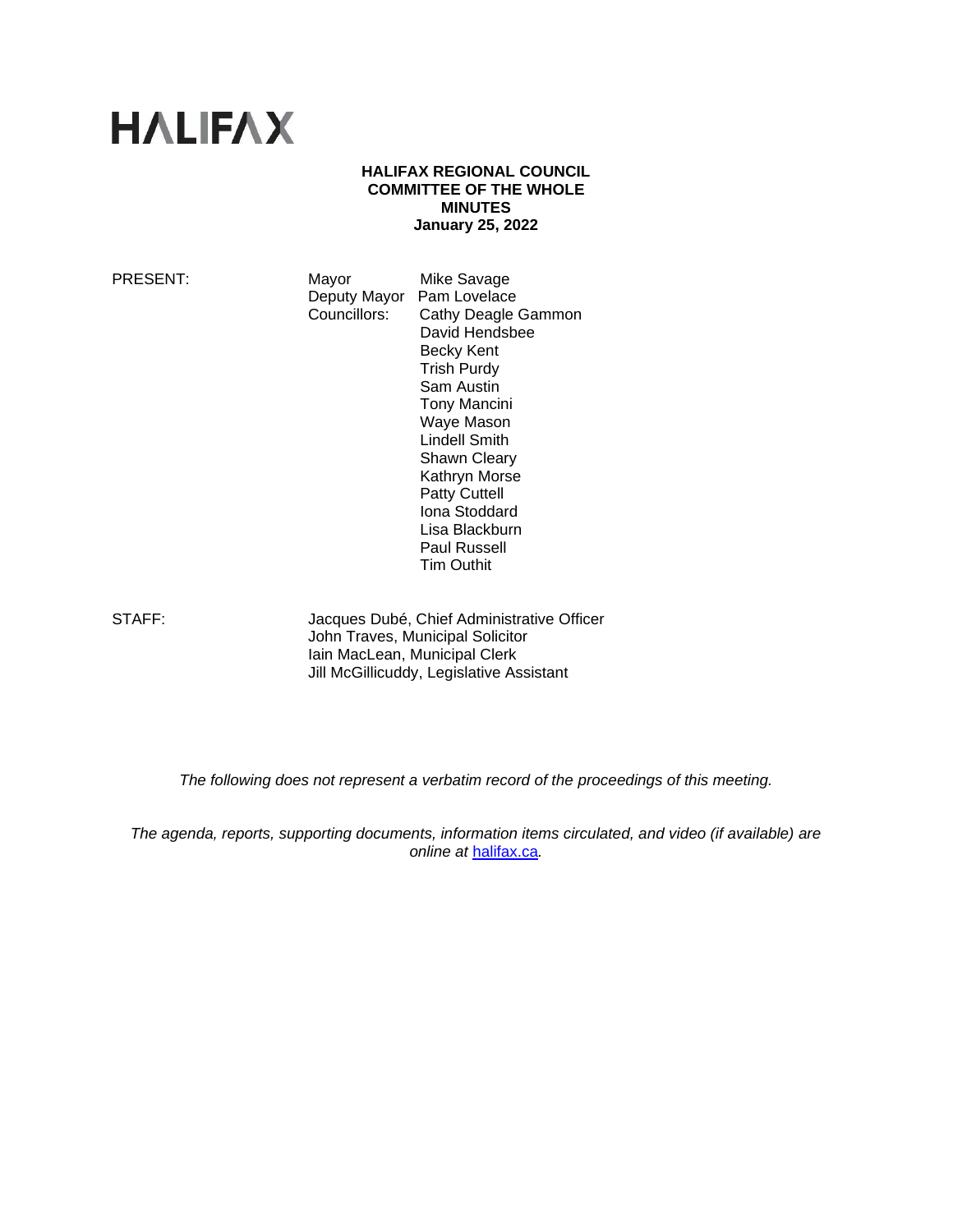# **HALIFAX**

#### **HALIFAX REGIONAL COUNCIL COMMITTEE OF THE WHOLE MINUTES January 25, 2022**

PRESENT: Mayor Mike Savage Deputy Mayor Pam Lovelace<br>Councillors: Cathy Deagle Cathy Deagle Gammon David Hendsbee Becky Kent Trish Purdy Sam Austin Tony Mancini Waye Mason Lindell Smith Shawn Cleary Kathryn Morse Patty Cuttell Iona Stoddard Lisa Blackburn Paul Russell Tim Outhit

STAFF: Jacques Dubé, Chief Administrative Officer John Traves, Municipal Solicitor Iain MacLean, Municipal Clerk Jill McGillicuddy, Legislative Assistant

*The following does not represent a verbatim record of the proceedings of this meeting.*

*The agenda, reports, supporting documents, information items circulated, and video (if available) are online at* [halifax.ca](http://www.halifax.ca/)*.*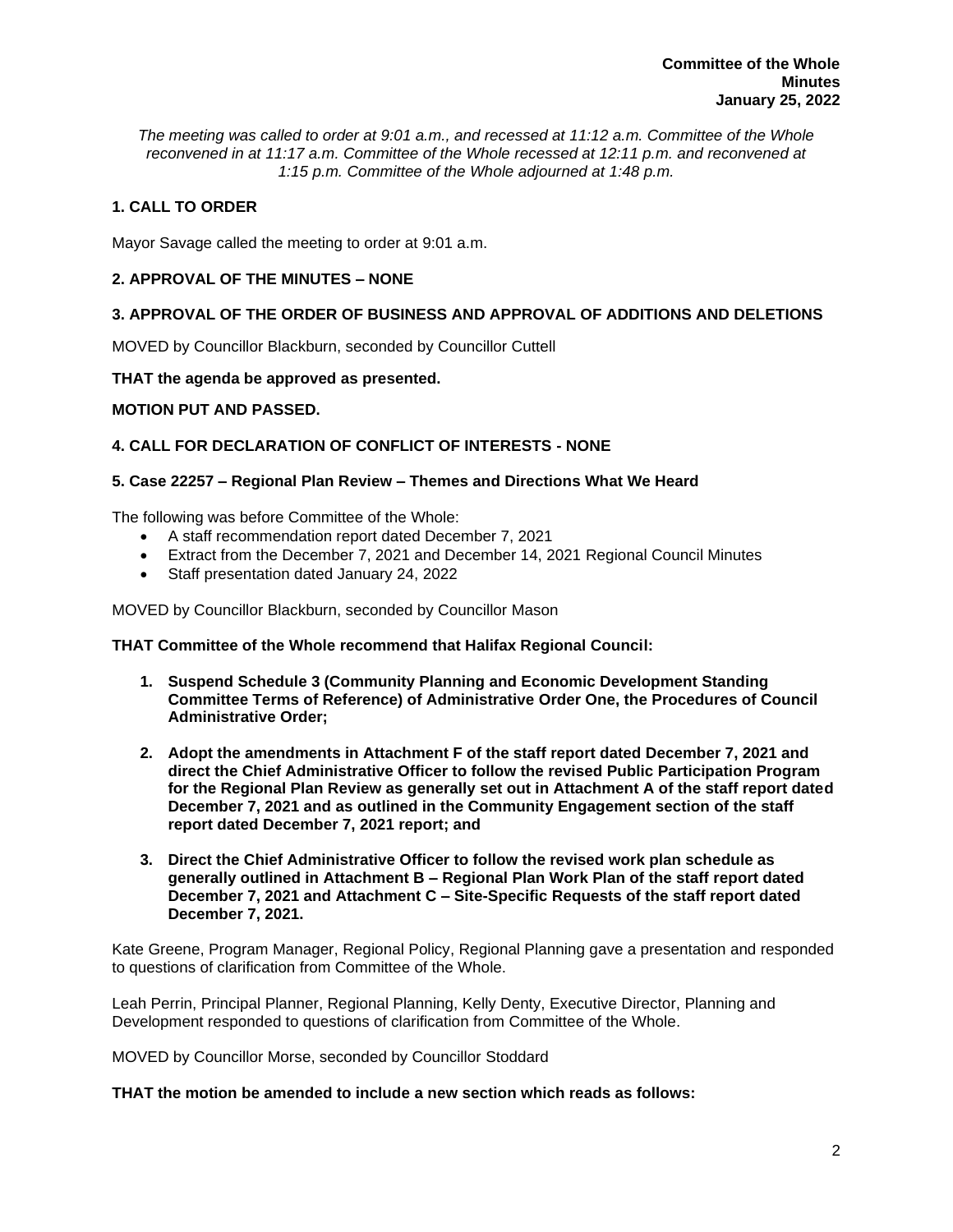*The meeting was called to order at 9:01 a.m., and recessed at 11:12 a.m. Committee of the Whole reconvened in at 11:17 a.m. Committee of the Whole recessed at 12:11 p.m. and reconvened at 1:15 p.m. Committee of the Whole adjourned at 1:48 p.m.*

# **1. CALL TO ORDER**

Mayor Savage called the meeting to order at 9:01 a.m.

# **2. APPROVAL OF THE MINUTES – NONE**

# **3. APPROVAL OF THE ORDER OF BUSINESS AND APPROVAL OF ADDITIONS AND DELETIONS**

MOVED by Councillor Blackburn, seconded by Councillor Cuttell

# **THAT the agenda be approved as presented.**

# **MOTION PUT AND PASSED.**

# **4. CALL FOR DECLARATION OF CONFLICT OF INTERESTS - NONE**

# **5. Case 22257 – Regional Plan Review – Themes and Directions What We Heard**

The following was before Committee of the Whole:

- A staff recommendation report dated December 7, 2021
- Extract from the December 7, 2021 and December 14, 2021 Regional Council Minutes
- Staff presentation dated January 24, 2022

MOVED by Councillor Blackburn, seconded by Councillor Mason

#### **THAT Committee of the Whole recommend that Halifax Regional Council:**

- **1. Suspend Schedule 3 (Community Planning and Economic Development Standing Committee Terms of Reference) of Administrative Order One, the Procedures of Council Administrative Order;**
- **2. Adopt the amendments in Attachment F of the staff report dated December 7, 2021 and direct the Chief Administrative Officer to follow the revised Public Participation Program for the Regional Plan Review as generally set out in Attachment A of the staff report dated December 7, 2021 and as outlined in the Community Engagement section of the staff report dated December 7, 2021 report; and**
- **3. Direct the Chief Administrative Officer to follow the revised work plan schedule as generally outlined in Attachment B – Regional Plan Work Plan of the staff report dated December 7, 2021 and Attachment C – Site-Specific Requests of the staff report dated December 7, 2021.**

Kate Greene, Program Manager, Regional Policy, Regional Planning gave a presentation and responded to questions of clarification from Committee of the Whole.

Leah Perrin, Principal Planner, Regional Planning, Kelly Denty, Executive Director, Planning and Development responded to questions of clarification from Committee of the Whole.

MOVED by Councillor Morse, seconded by Councillor Stoddard

#### **THAT the motion be amended to include a new section which reads as follows:**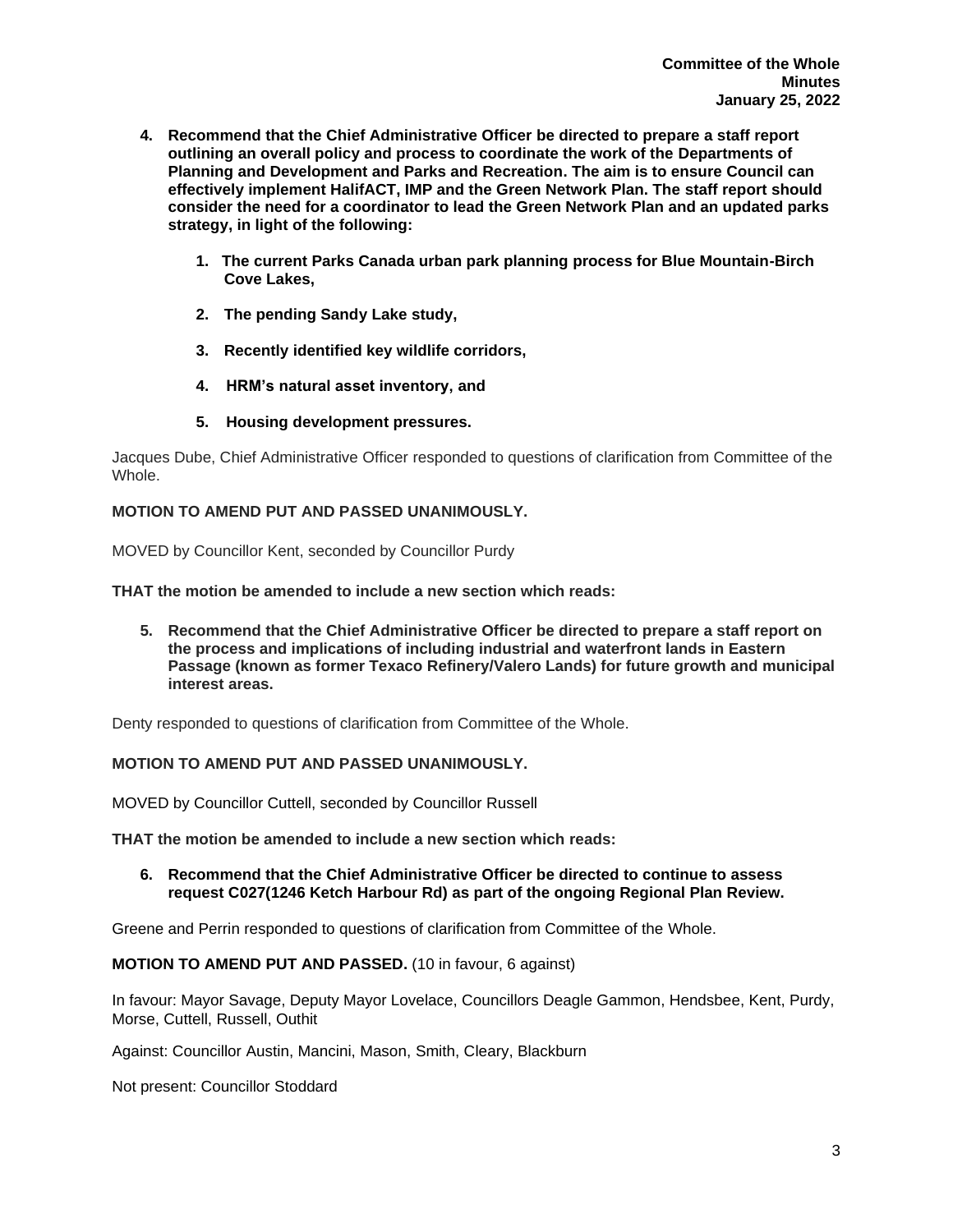- **4. Recommend that the Chief Administrative Officer be directed to prepare a staff report outlining an overall policy and process to coordinate the work of the Departments of Planning and Development and Parks and Recreation. The aim is to ensure Council can effectively implement HalifACT, IMP and the Green Network Plan. The staff report should consider the need for a coordinator to lead the Green Network Plan and an updated parks strategy, in light of the following:**
	- **1. The current Parks Canada urban park planning process for Blue Mountain-Birch Cove Lakes,**
	- **2. The pending Sandy Lake study,**
	- **3. Recently identified key wildlife corridors,**
	- **4. HRM's natural asset inventory, and**
	- **5. Housing development pressures.**

Jacques Dube, Chief Administrative Officer responded to questions of clarification from Committee of the **Whole** 

#### **MOTION TO AMEND PUT AND PASSED UNANIMOUSLY.**

MOVED by Councillor Kent, seconded by Councillor Purdy

**THAT the motion be amended to include a new section which reads:**

**5. Recommend that the Chief Administrative Officer be directed to prepare a staff report on the process and implications of including industrial and waterfront lands in Eastern Passage (known as former Texaco Refinery/Valero Lands) for future growth and municipal interest areas.**

Denty responded to questions of clarification from Committee of the Whole.

#### **MOTION TO AMEND PUT AND PASSED UNANIMOUSLY.**

MOVED by Councillor Cuttell, seconded by Councillor Russell

**THAT the motion be amended to include a new section which reads:**

**6. Recommend that the Chief Administrative Officer be directed to continue to assess request C027(1246 Ketch Harbour Rd) as part of the ongoing Regional Plan Review.**

Greene and Perrin responded to questions of clarification from Committee of the Whole.

#### **MOTION TO AMEND PUT AND PASSED.** (10 in favour, 6 against)

In favour: Mayor Savage, Deputy Mayor Lovelace, Councillors Deagle Gammon, Hendsbee, Kent, Purdy, Morse, Cuttell, Russell, Outhit

Against: Councillor Austin, Mancini, Mason, Smith, Cleary, Blackburn

Not present: Councillor Stoddard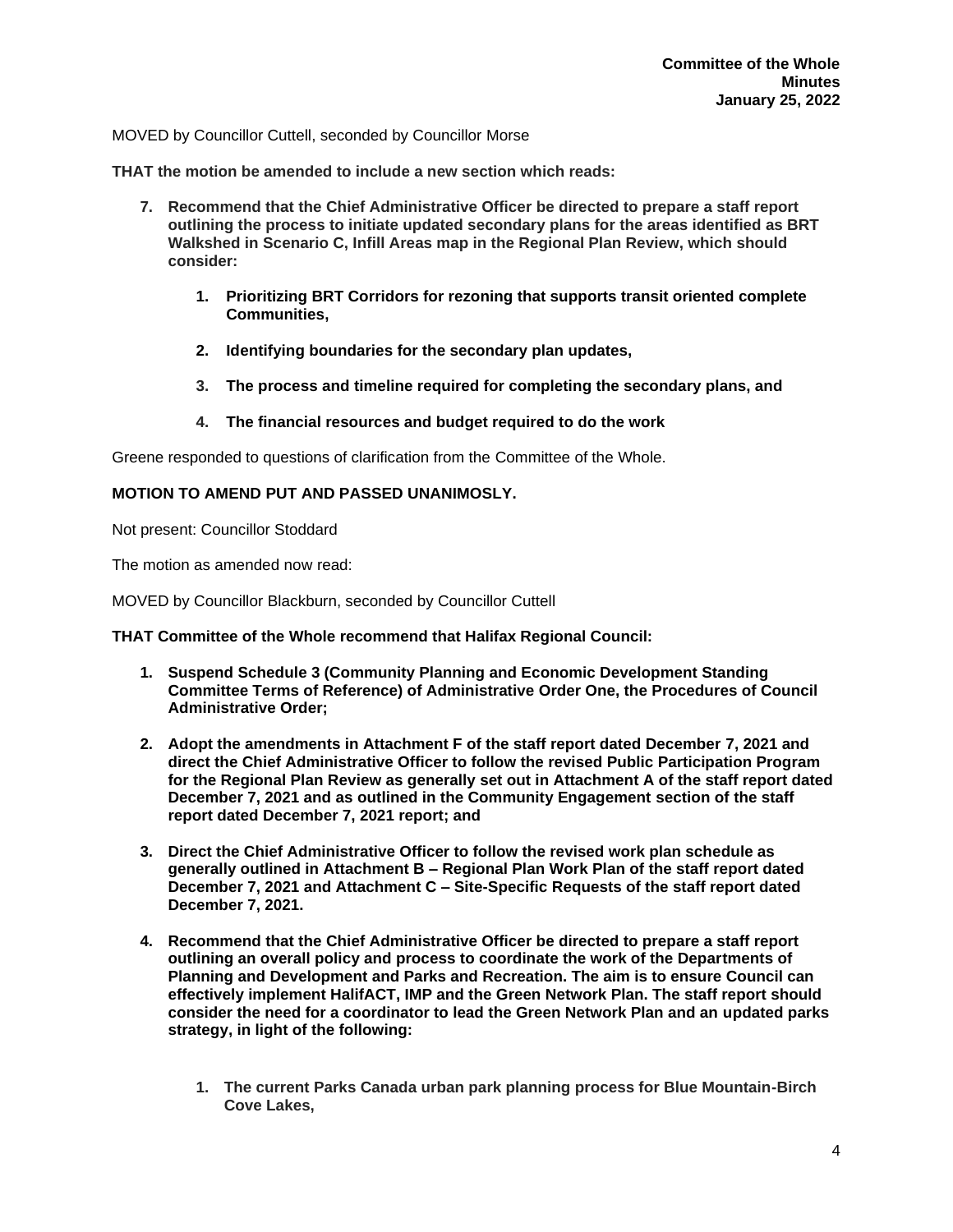MOVED by Councillor Cuttell, seconded by Councillor Morse

**THAT the motion be amended to include a new section which reads:**

- **7. Recommend that the Chief Administrative Officer be directed to prepare a staff report outlining the process to initiate updated secondary plans for the areas identified as BRT Walkshed in Scenario C, Infill Areas map in the Regional Plan Review, which should consider:**
	- **1. Prioritizing BRT Corridors for rezoning that supports transit oriented complete Communities,**
	- **2. Identifying boundaries for the secondary plan updates,**
	- **3. The process and timeline required for completing the secondary plans, and**
	- **4. The financial resources and budget required to do the work**

Greene responded to questions of clarification from the Committee of the Whole.

#### **MOTION TO AMEND PUT AND PASSED UNANIMOSLY.**

Not present: Councillor Stoddard

The motion as amended now read:

MOVED by Councillor Blackburn, seconded by Councillor Cuttell

**THAT Committee of the Whole recommend that Halifax Regional Council:**

- **1. Suspend Schedule 3 (Community Planning and Economic Development Standing Committee Terms of Reference) of Administrative Order One, the Procedures of Council Administrative Order;**
- **2. Adopt the amendments in Attachment F of the staff report dated December 7, 2021 and direct the Chief Administrative Officer to follow the revised Public Participation Program for the Regional Plan Review as generally set out in Attachment A of the staff report dated December 7, 2021 and as outlined in the Community Engagement section of the staff report dated December 7, 2021 report; and**
- **3. Direct the Chief Administrative Officer to follow the revised work plan schedule as generally outlined in Attachment B – Regional Plan Work Plan of the staff report dated December 7, 2021 and Attachment C – Site-Specific Requests of the staff report dated December 7, 2021.**
- **4. Recommend that the Chief Administrative Officer be directed to prepare a staff report outlining an overall policy and process to coordinate the work of the Departments of Planning and Development and Parks and Recreation. The aim is to ensure Council can effectively implement HalifACT, IMP and the Green Network Plan. The staff report should consider the need for a coordinator to lead the Green Network Plan and an updated parks strategy, in light of the following:**
	- **1. The current Parks Canada urban park planning process for Blue Mountain-Birch Cove Lakes,**